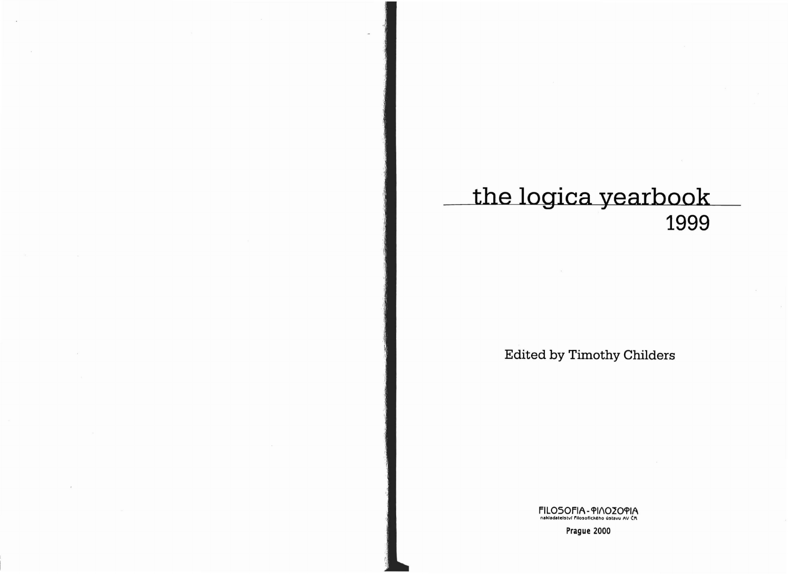## the logica yearbook 1999

**Edited by Timothy Childers** 

FILOSOFIA - PINOZOPIA<br>nakladatelství filosofického ústavu AV ČR

Prague 2000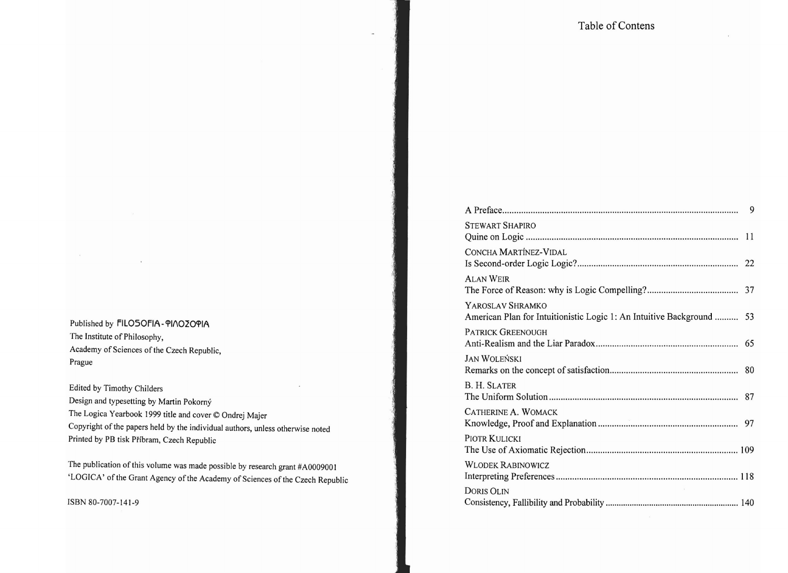| Published by FILOSOFIA-PINOZOPIA           |  |
|--------------------------------------------|--|
| The Institute of Philosophy,               |  |
| Academy of Sciences of the Czech Republic, |  |
| Prague                                     |  |
|                                            |  |

Edited by Timothy Childers Design and typesetting by Martin Pokorny The Logica Yearbook 1999 title and cover © Ondrej Majer Copyright of the papers held by the individual authors, unless otherwise noted Printed by PB tisk Pfibram, Czech Republic

The publication of this volume was made possible by research grant #A0009001 'LOGICA' of the Grant Agency of the Academy of Sciences of the Czech Republic

ISBN 80-7007-141-9

| <b>STEWART SHAPIRO</b>                                                                    |  |
|-------------------------------------------------------------------------------------------|--|
| CONCHA MARTÍNEZ-VIDAL                                                                     |  |
| <b>ALAN WEIR</b>                                                                          |  |
| YAROSLAV SHRAMKO<br>American Plan for Intuitionistic Logic 1: An Intuitive Background  53 |  |
| <b>PATRICK GREENOUGH</b>                                                                  |  |
| <b>JAN WOLEŃSKI</b>                                                                       |  |
| <b>B. H. SLATER</b>                                                                       |  |
| CATHERINE A. WOMACK                                                                       |  |
| PIOTR KULICKI                                                                             |  |
| <b>WLODEK RABINOWICZ</b>                                                                  |  |
| <b>DORIS OLIN</b>                                                                         |  |